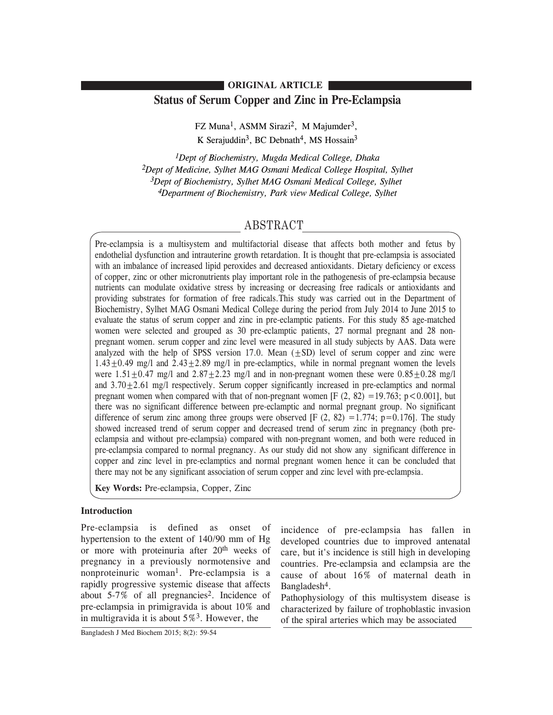# **Status of Serum Copper and Zinc in Pre-Eclampsia ORIGINAL ARTICLE**

FZ Muna<sup>1</sup>, ASMM Sirazi<sup>2</sup>, M Majumder<sup>3</sup>, K Serajuddin<sup>3</sup>, BC Debnath<sup>4</sup>, MS Hossain<sup>3</sup>

*1Dept of Biochemistry, Mugda Medical College, Dhaka 2Dept of Medicine, Sylhet MAG Osmani Medical College Hospital, Sylhet 3Dept of Biochemistry, Sylhet MAG Osmani Medical College, Sylhet 4Department of Biochemistry, Park view Medical College, Sylhet*

# ABSTRACT

Pre-eclampsia is a multisystem and multifactorial disease that affects both mother and fetus by endothelial dysfunction and intrauterine growth retardation. It is thought that pre-eclampsia is associated with an imbalance of increased lipid peroxides and decreased antioxidants. Dietary deficiency or excess of copper, zinc or other micronutrients play important role in the pathogenesis of pre-eclampsia because nutrients can modulate oxidative stress by increasing or decreasing free radicals or antioxidants and providing substrates for formation of free radicals.This study was carried out in the Department of Biochemistry, Sylhet MAG Osmani Medical College during the period from July 2014 to June 2015 to evaluate the status of serum copper and zinc in pre-eclamptic patients. For this study 85 age-matched women were selected and grouped as 30 pre-eclamptic patients, 27 normal pregnant and 28 nonpregnant women. serum copper and zinc level were measured in all study subjects by AAS. Data were analyzed with the help of SPSS version  $17.0$ . Mean  $(+SD)$  level of serum copper and zinc were  $1.43+0.49$  mg/l and  $2.43+2.89$  mg/l in pre-eclamptics, while in normal pregnant women the levels were  $1.51+0.47$  mg/l and  $2.87+2.23$  mg/l and in non-pregnant women these were  $0.85+0.28$  mg/l and  $3.70+2.61$  mg/l respectively. Serum copper significantly increased in pre-eclamptics and normal pregnant women when compared with that of non-pregnant women [F  $(2, 82) = 19.763$ ; p < 0.001], but there was no significant difference between pre-eclamptic and normal pregnant group. No significant difference of serum zinc among three groups were observed  $[F (2, 82) = 1.774; p=0.176]$ . The study showed increased trend of serum copper and decreased trend of serum zinc in pregnancy (both preeclampsia and without pre-eclampsia) compared with non-pregnant women, and both were reduced in pre-eclampsia compared to normal pregnancy. As our study did not show any significant difference in copper and zinc level in pre-eclamptics and normal pregnant women hence it can be concluded that there may not be any significant association of serum copper and zinc level with pre-eclampsia.

**Key Words:** Pre-eclampsia, Copper, Zinc

# **Introduction**

Pre-eclampsia is defined as onset of hypertension to the extent of 140/90 mm of Hg or more with proteinuria after 20<sup>th</sup> weeks of pregnancy in a previously normotensive and nonproteinuric woman1. Pre-eclampsia is a rapidly progressive systemic disease that affects about  $5-7\%$  of all pregnancies<sup>2</sup>. Incidence of pre-eclampsia in primigravida is about 10% and in multigravida it is about  $5\%$ <sup>3</sup>. However, the

incidence of pre-eclampsia has fallen in developed countries due to improved antenatal care, but it's incidence is still high in developing countries. Pre-eclampsia and eclampsia are the cause of about 16% of maternal death in Bangladesh<sup>4</sup>.

Pathophysiology of this multisystem disease is characterized by failure of trophoblastic invasion of the spiral arteries which may be associated

Bangladesh J Med Biochem 2015; 8(2): 59-54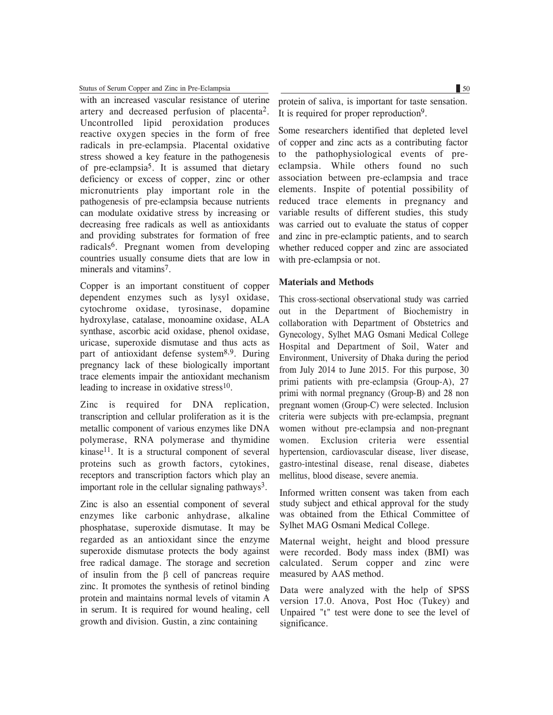### Stutus of Serum Copper and Zinc in Pre-Eclampsia  $\Box$  50

with an increased vascular resistance of uterine artery and decreased perfusion of placenta2. Uncontrolled lipid peroxidation produces reactive oxygen species in the form of free radicals in pre-eclampsia. Placental oxidative stress showed a key feature in the pathogenesis of pre-eclampsia5. It is assumed that dietary deficiency or excess of copper, zinc or other micronutrients play important role in the pathogenesis of pre-eclampsia because nutrients can modulate oxidative stress by increasing or decreasing free radicals as well as antioxidants and providing substrates for formation of free radicals6. Pregnant women from developing countries usually consume diets that are low in minerals and vitamins<sup>7</sup>.

Copper is an important constituent of copper dependent enzymes such as lysyl oxidase, cytochrome oxidase, tyrosinase, dopamine hydroxylase, catalase, monoamine oxidase, ALA synthase, ascorbic acid oxidase, phenol oxidase, uricase, superoxide dismutase and thus acts as part of antioxidant defense system<sup>8,9</sup>. During pregnancy lack of these biologically important trace elements impair the antioxidant mechanism leading to increase in oxidative stress $10$ .

Zinc is required for DNA replication, transcription and cellular proliferation as it is the metallic component of various enzymes like DNA polymerase, RNA polymerase and thymidine kinase<sup>11</sup>. It is a structural component of several proteins such as growth factors, cytokines, receptors and transcription factors which play an important role in the cellular signaling pathways<sup>3</sup>.

Zinc is also an essential component of several enzymes like carbonic anhydrase, alkaline phosphatase, superoxide dismutase. It may be regarded as an antioxidant since the enzyme superoxide dismutase protects the body against free radical damage. The storage and secretion of insulin from the  $\beta$  cell of pancreas require zinc. It promotes the synthesis of retinol binding protein and maintains normal levels of vitamin A in serum. It is required for wound healing, cell growth and division. Gustin, a zinc containing

protein of saliva, is important for taste sensation. It is required for proper reproduction9.

Some researchers identified that depleted level of copper and zinc acts as a contributing factor to the pathophysiological events of preeclampsia. While others found no such association between pre-eclampsia and trace elements. Inspite of potential possibility of reduced trace elements in pregnancy and variable results of different studies, this study was carried out to evaluate the status of copper and zinc in pre-eclamptic patients, and to search whether reduced copper and zinc are associated with pre-eclampsia or not.

## **Materials and Methods**

This cross-sectional observational study was carried out in the Department of Biochemistry in collaboration with Department of Obstetrics and Gynecology, Sylhet MAG Osmani Medical College Hospital and Department of Soil, Water and Environment, University of Dhaka during the period from July 2014 to June 2015. For this purpose, 30 primi patients with pre-eclampsia (Group-A), 27 primi with normal pregnancy (Group-B) and 28 non pregnant women (Group-C) were selected. Inclusion criteria were subjects with pre-eclampsia, pregnant women without pre-eclampsia and non-pregnant women. Exclusion criteria were essential hypertension, cardiovascular disease, liver disease, gastro-intestinal disease, renal disease, diabetes mellitus, blood disease, severe anemia.

Informed written consent was taken from each study subject and ethical approval for the study was obtained from the Ethical Committee of Sylhet MAG Osmani Medical College.

Maternal weight, height and blood pressure were recorded. Body mass index (BMI) was calculated. Serum copper and zinc were measured by AAS method.

Data were analyzed with the help of SPSS version 17.0. Anova, Post Hoc (Tukey) and Unpaired "t" test were done to see the level of significance.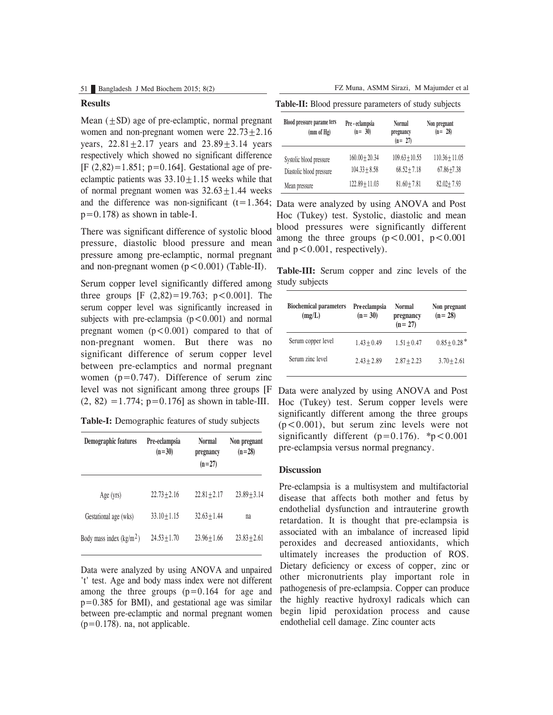## **Results**

and the difference was non-significant  $(t=1.364;$  Data were analyzed by using ANOVA and Post Mean  $(+SD)$  age of pre-eclamptic, normal pregnant women and non-pregnant women were  $22.73 \pm 2.16$ years,  $22.81 \pm 2.17$  years and  $23.89 \pm 3.14$  years respectively which showed no significant difference  $[F (2, 82) = 1.851; p = 0.164]$ . Gestational age of preeclamptic patients was  $33.10 \pm 1.15$  weeks while that of normal pregnant women was  $32.63+1.44$  weeks  $p=0.178$ ) as shown in table-I.

There was significant difference of systolic blood pressure, diastolic blood pressure and mean pressure among pre-eclamptic, normal pregnant and non-pregnant women  $(p < 0.001)$  (Table-II).

level was not significant among three groups [F Data were analyzed by using ANOVA and Post Serum copper level significantly differed among three groups  $[F (2,82)=19.763; p<0.001]$ . The serum copper level was significantly increased in subjects with pre-eclampsia  $(p<0.001)$  and normal pregnant women  $(p<0.001)$  compared to that of non-pregnant women. But there was no significant difference of serum copper level between pre-eclamptics and normal pregnant women  $(p=0.747)$ . Difference of serum zinc  $(2, 82) = 1.774$ ;  $p=0.176$ ] as shown in table-III.

**Table-I:** Demographic features of study subjects

| Demographic features      | Pre-eclampsia<br>$(n=30)$ | <b>Normal</b><br>pregnancy<br>$(n=27)$ | Non pregnant<br>$(n=28)$ |
|---------------------------|---------------------------|----------------------------------------|--------------------------|
| Age (yrs)                 | $22.73 + 2.16$            | $22.81 + 2.17$                         | $23.89 + 3.14$           |
| Gestational age (wks)     | $33.10 + 1.15$            | $32.63 + 1.44$                         | na                       |
| Body mass index $(kg/m2)$ | $24.53 + 1.70$            | $23.96 + 1.66$                         | $23.83 + 2.61$           |

Data were analyzed by using ANOVA and unpaired 't' test. Age and body mass index were not different among the three groups  $(p=0.164$  for age and p=0.385 for BMI), and gestational age was similar between pre-eclamptic and normal pregnant women  $(p=0.178)$ . na, not applicable.

**Table-II:** Blood pressure parameters of study subjects

| Blood pressure parame ters<br>(mm of Hg) | Pre - eclampsia<br>$(n = 30)$ | <b>Normal</b><br>pregnancy<br>$(n = 27)$ | Non pregnant<br>$(n = 28)$ |
|------------------------------------------|-------------------------------|------------------------------------------|----------------------------|
| Systolic blood pressure                  | $160.00 + 20.34$              | $109.63 + 10.55$                         | $110.36 + 11.05$           |
| Diastolic blood pressure                 | $104.33 + 8.58$               | $68.52 + 7.18$                           | $67.86 + 7.38$             |
| Mean pressure                            | $122.89 + 11.03$              | $81.60 + 7.81$                           | $82.02 + 7.93$             |

Hoc (Tukey) test. Systolic, diastolic and mean blood pressures were significantly different among the three groups  $(p < 0.001, p < 0.001)$ and  $p < 0.001$ , respectively).

**Table-III:** Serum copper and zinc levels of the study subjects

| <b>Biochemical parameters</b><br>(mg/L) | <b>Preeclampsia</b><br>$(n = 30)$ | <b>Normal</b><br>pregnancy<br>$(n = 27)$ | Non pregnant<br>$(n = 28)$ |
|-----------------------------------------|-----------------------------------|------------------------------------------|----------------------------|
| Serum copper level                      | $1.43 + 0.49$                     | $1.51 + 0.47$                            | $0.85 + 0.28$ <sup>*</sup> |
| Serum zinc level                        | $2.43 + 2.89$                     | $2.87 + 2.23$                            | $3.70 + 2.61$              |

Hoc (Tukey) test. Serum copper levels were significantly different among the three groups  $(p<0.001)$ , but serum zinc levels were not significantly different ( $p=0.176$ ). \*p < 0.001 pre-eclampsia versus normal pregnancy.

# **Discussion**

Pre-eclampsia is a multisystem and multifactorial disease that affects both mother and fetus by endothelial dysfunction and intrauterine growth retardation. It is thought that pre-eclampsia is associated with an imbalance of increased lipid peroxides and decreased antioxidants, which ultimately increases the production of ROS. Dietary deficiency or excess of copper, zinc or other micronutrients play important role in pathogenesis of pre-eclampsia. Copper can produce the highly reactive hydroxyl radicals which can begin lipid peroxidation process and cause endothelial cell damage. Zinc counter acts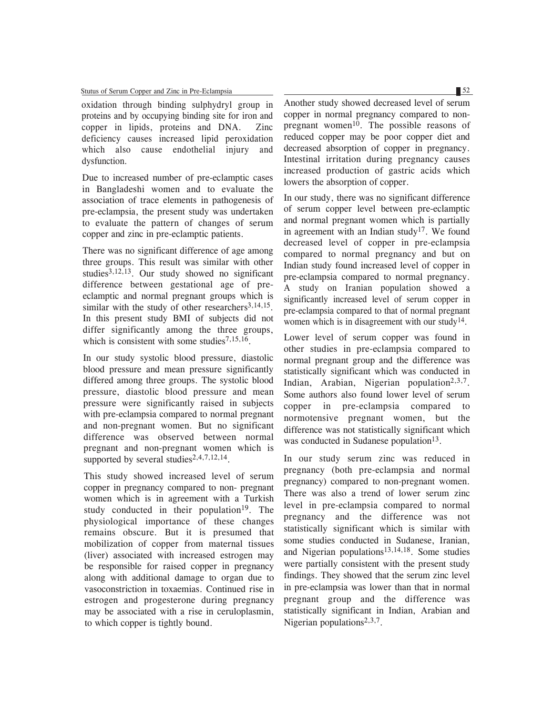### Stutus of Serum Copper and Zinc in Pre-Eclampsia 52

oxidation through binding sulphydryl group in proteins and by occupying binding site for iron and copper in lipids, proteins and DNA. Zinc deficiency causes increased lipid peroxidation which also cause endothelial injury and dysfunction.

Due to increased number of pre-eclamptic cases in Bangladeshi women and to evaluate the association of trace elements in pathogenesis of pre-eclampsia, the present study was undertaken to evaluate the pattern of changes of serum copper and zinc in pre-eclamptic patients.

There was no significant difference of age among three groups. This result was similar with other studies $3,12,13$ . Our study showed no significant difference between gestational age of preeclamptic and normal pregnant groups which is similar with the study of other researchers $3,14,15$ . In this present study BMI of subjects did not differ significantly among the three groups, which is consistent with some studies<sup>7,15,16</sup>.

In our study systolic blood pressure, diastolic blood pressure and mean pressure significantly differed among three groups. The systolic blood pressure, diastolic blood pressure and mean pressure were significantly raised in subjects with pre-eclampsia compared to normal pregnant and non-pregnant women. But no significant difference was observed between normal pregnant and non-pregnant women which is supported by several studies<sup>2,4,7,12,14</sup>.

This study showed increased level of serum copper in pregnancy compared to non- pregnant women which is in agreement with a Turkish study conducted in their population<sup>19</sup>. The physiological importance of these changes remains obscure. But it is presumed that mobilization of copper from maternal tissues (liver) associated with increased estrogen may be responsible for raised copper in pregnancy along with additional damage to organ due to vasoconstriction in toxaemias. Continued rise in estrogen and progesterone during pregnancy may be associated with a rise in ceruloplasmin, to which copper is tightly bound.

Another study showed decreased level of serum copper in normal pregnancy compared to nonpregnant women $10$ . The possible reasons of reduced copper may be poor copper diet and decreased absorption of copper in pregnancy. Intestinal irritation during pregnancy causes increased production of gastric acids which lowers the absorption of copper.

In our study, there was no significant difference of serum copper level between pre-eclamptic and normal pregnant women which is partially in agreement with an Indian study<sup>17</sup>. We found decreased level of copper in pre-eclampsia compared to normal pregnancy and but on Indian study found increased level of copper in pre-eclampsia compared to normal pregnancy. A study on Iranian population showed a significantly increased level of serum copper in pre-eclampsia compared to that of normal pregnant women which is in disagreement with our study<sup>14</sup>.

Lower level of serum copper was found in other studies in pre-eclampsia compared to normal pregnant group and the difference was statistically significant which was conducted in Indian, Arabian, Nigerian population<sup>2,3,7</sup>. Some authors also found lower level of serum copper in pre-eclampsia compared to normotensive pregnant women, but the difference was not statistically significant which was conducted in Sudanese population<sup>13</sup>.

In our study serum zinc was reduced in pregnancy (both pre-eclampsia and normal pregnancy) compared to non-pregnant women. There was also a trend of lower serum zinc level in pre-eclampsia compared to normal pregnancy and the difference was not statistically significant which is similar with some studies conducted in Sudanese, Iranian, and Nigerian populations $13,14,18$ . Some studies were partially consistent with the present study findings. They showed that the serum zinc level in pre-eclampsia was lower than that in normal pregnant group and the difference was statistically significant in Indian, Arabian and Nigerian populations $2,3,7$ .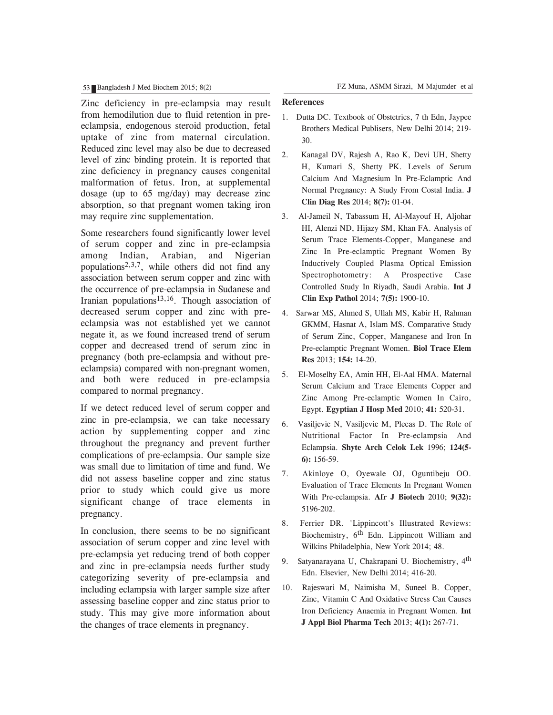Zinc deficiency in pre-eclampsia may result from hemodilution due to fluid retention in preeclampsia, endogenous steroid production, fetal uptake of zinc from maternal circulation. Reduced zinc level may also be due to decreased level of zinc binding protein. It is reported that zinc deficiency in pregnancy causes congenital malformation of fetus. Iron, at supplemental dosage (up to 65 mg/day) may decrease zinc absorption, so that pregnant women taking iron may require zinc supplementation.

Some researchers found significantly lower level of serum copper and zinc in pre-eclampsia among Indian, Arabian, and Nigerian populations<sup>2,3,7</sup>, while others did not find any association between serum copper and zinc with the occurrence of pre-eclampsia in Sudanese and Iranian populations<sup>13,16</sup>. Though association of decreased serum copper and zinc with preeclampsia was not established yet we cannot negate it, as we found increased trend of serum copper and decreased trend of serum zinc in pregnancy (both pre-eclampsia and without preeclampsia) compared with non-pregnant women, and both were reduced in pre-eclampsia compared to normal pregnancy.

If we detect reduced level of serum copper and zinc in pre-eclampsia, we can take necessary action by supplementing copper and zinc throughout the pregnancy and prevent further complications of pre-eclampsia. Our sample size was small due to limitation of time and fund. We did not assess baseline copper and zinc status prior to study which could give us more significant change of trace elements in pregnancy.

In conclusion, there seems to be no significant association of serum copper and zinc level with pre-eclampsia yet reducing trend of both copper and zinc in pre-eclampsia needs further study categorizing severity of pre-eclampsia and including eclampsia with larger sample size after assessing baseline copper and zinc status prior to study. This may give more information about the changes of trace elements in pregnancy.

#### **References**

- 1. Dutta DC. Textbook of Obstetrics, 7 th Edn, Jaypee Brothers Medical Publisers, New Delhi 2014; 219- 30.
- 2. Kanagal DV, Rajesh A, Rao K, Devi UH, Shetty H, Kumari S, Shetty PK. Levels of Serum Calcium And Magnesium In Pre-Eclamptic And Normal Pregnancy: A Study From Costal India. **J Clin Diag Res** 2014; **8(7):** 01-04.
- 3. Al-Jameil N, Tabassum H, Al-Mayouf H, Aljohar HI, Alenzi ND, Hijazy SM, Khan FA. Analysis of Serum Trace Elements-Copper, Manganese and Zinc In Pre-eclamptic Pregnant Women By Inductively Coupled Plasma Optical Emission Spectrophotometry: A Prospective Case Controlled Study In Riyadh, Saudi Arabia. **Int J Clin Exp Pathol** 2014; **7(5):** 1900-10.
- 4. Sarwar MS, Ahmed S, Ullah MS, Kabir H, Rahman GKMM, Hasnat A, Islam MS. Comparative Study of Serum Zinc, Copper, Manganese and Iron In Pre-eclamptic Pregnant Women. **Biol Trace Elem Res** 2013; **154:** 14-20.
- 5. El-Moselhy EA, Amin HH, El-Aal HMA. Maternal Serum Calcium and Trace Elements Copper and Zinc Among Pre-eclamptic Women In Cairo, Egypt. **Egyptian J Hosp Med** 2010; **41:** 520-31.
- 6. Vasiljevic N, Vasiljevic M, Plecas D. The Role of Nutritional Factor In Pre-eclampsia And Eclampsia. **Shyte Arch Celok Lek** 1996; **124(5- 6):** 156-59.
- 7. Akinloye O, Oyewale OJ, Oguntibeju OO. Evaluation of Trace Elements In Pregnant Women With Pre-eclampsia. **Afr J Biotech** 2010; **9(32):** 5196-202.
- 8. Ferrier DR. 'Lippincott's Illustrated Reviews: Biochemistry,  $6<sup>th</sup>$  Edn. Lippincott William and Wilkins Philadelphia, New York 2014; 48.
- 9. Satyanarayana U, Chakrapani U. Biochemistry, 4<sup>th</sup> Edn. Elsevier, New Delhi 2014; 416-20.
- 10. Rajeswari M, Naimisha M, Suneel B. Copper, Zinc, Vitamin C And Oxidative Stress Can Causes Iron Deficiency Anaemia in Pregnant Women. **Int J Appl Biol Pharma Tech** 2013; **4(1):** 267-71.